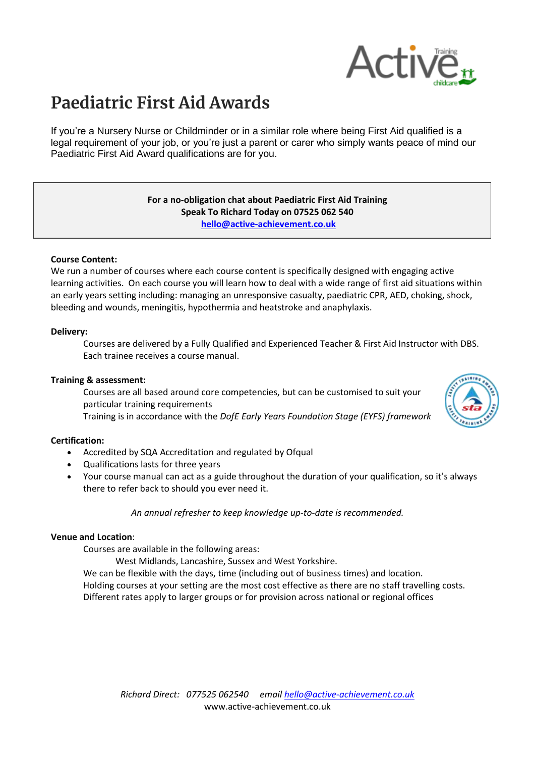

# **Paediatric First Aid Awards**

If you're a Nursery Nurse or Childminder or in a similar role where being First Aid qualified is a legal requirement of your job, or you're just a parent or carer who simply wants peace of mind our Paediatric First Aid Award qualifications are for you.

#### **For a no-obligation chat about Paediatric First Aid Training Speak To Richard Today on 07525 062 540 [hello@active-achievement.co.uk](mailto:hello@active-achievement.co.uk)**

#### **Course Content:**

We run a number of courses where each course content is specifically designed with engaging active learning activities. On each course you will learn how to deal with a wide range of first aid situations within an early years setting including: managing an unresponsive casualty, paediatric CPR, AED, choking, shock, bleeding and wounds, meningitis, hypothermia and heatstroke and anaphylaxis.

#### **Delivery:**

Courses are delivered by a Fully Qualified and Experienced Teacher & First Aid Instructor with DBS. Each trainee receives a course manual.

## **Training & assessment:**

Courses are all based around core competencies, but can be customised to suit your particular training requirements

Training is in accordance with the *DofE Early Years Foundation Stage (EYFS) framework*

#### **Certification:**

- Accredited by SQA Accreditation and regulated by Ofqual
- Qualifications lasts for three years
- Your course manual can act as a guide throughout the duration of your qualification, so it's always there to refer back to should you ever need it.

*An annual refresher to keep knowledge up-to-date is recommended.*

#### **Venue and Location**:

Courses are available in the following areas:

West Midlands, Lancashire, Sussex and West Yorkshire.

We can be flexible with the days, time (including out of business times) and location. Holding courses at your setting are the most cost effective as there are no staff travelling costs. Different rates apply to larger groups or for provision across national or regional offices

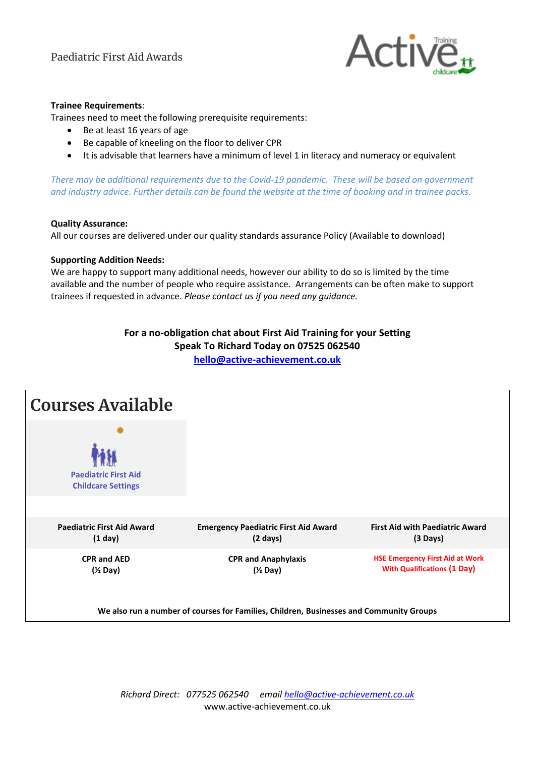

## **Trainee Requirements**:

Trainees need to meet the following prerequisite requirements:

- Be at least 16 years of age
- Be capable of kneeling on the floor to deliver CPR
- It is advisable that learners have a minimum of level 1 in literacy and numeracy or equivalent

*There may be additional requirements due to the Covid-19 pandemic. These will be based on government and industry advice. Further details can be found the website at the time of booking and in trainee packs.*

#### **Quality Assurance:**

All our courses are delivered under our quality standards assurance Policy (Available to download)

#### **Supporting Addition Needs:**

We are happy to support many additional needs, however our ability to do so is limited by the time available and the number of people who require assistance. Arrangements can be often make to support trainees if requested in advance. *Please contact us if you need any guidance.*

# **For a no-obligation chat about First Aid Training for your Setting Speak To Richard Today on 07525 062540 [hello@active-achievement.co.uk](mailto:hello@active-achievement.co.uk)**